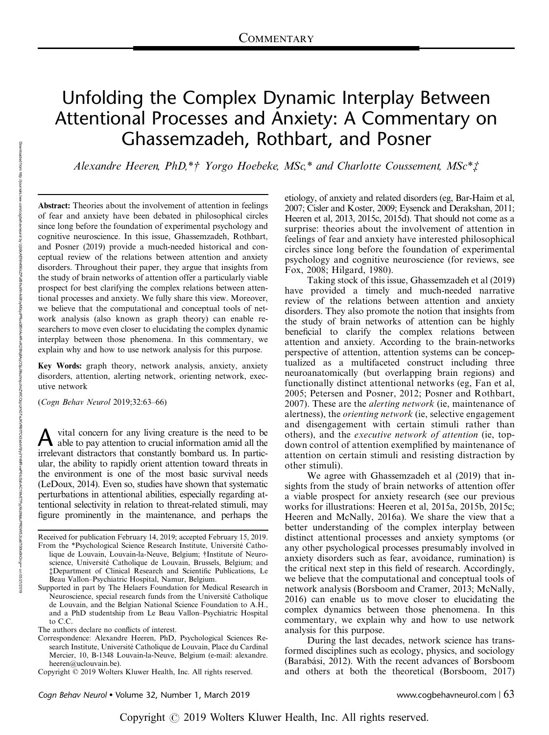## Unfolding the Complex Dynamic Interplay Between Attentional Processes and Anxiety: A Commentary on Ghassemzadeh, Rothbart, and Posner

Alexandre Heeren, PhD,\*† Yorgo Hoebeke, MSc,\* and Charlotte Coussement, MSc\*‡

Abstract: Theories about the involvement of attention in feelings of fear and anxiety have been debated in philosophical circles since long before the foundation of experimental psychology and cognitive neuroscience. In this issue, Ghassemzadeh, Rothbart, and Posner (2019) provide a much-needed historical and conceptual review of the relations between attention and anxiety disorders. Throughout their paper, they argue that insights from the study of brain networks of attention offer a particularly viable prospect for best clarifying the complex relations between attentional processes and anxiety. We fully share this view. Moreover, we believe that the computational and conceptual tools of network analysis (also known as graph theory) can enable researchers to move even closer to elucidating the complex dynamic interplay between those phenomena. In this commentary, we explain why and how to use network analysis for this purpose.

Key Words: graph theory, network analysis, anxiety, anxiety disorders, attention, alerting network, orienting network, executive network

(Cogn Behav Neurol 2019;32:63–66)

 $\bf{A}$  vital concern for any living creature is the need to be able to pay attention to crucial information amid all the inclusion of the state of the state of the state of the state of the state of the state of the stat irrelevant distractors that constantly bombard us. In particular, the ability to rapidly orient attention toward threats in the environment is one of the most basic survival needs (LeDoux, 2014). Even so, studies have shown that systematic perturbations in attentional abilities, especially regarding attentional selectivity in relation to threat-related stimuli, may figure prominently in the maintenance, and perhaps the

etiology, of anxiety and related disorders (eg, Bar-Haim et al, 2007; Cisler and Koster, 2009; Eysenck and Derakshan, 2011; Heeren et al, 2013, 2015c, 2015d). That should not come as a surprise: theories about the involvement of attention in feelings of fear and anxiety have interested philosophical circles since long before the foundation of experimental psychology and cognitive neuroscience (for reviews, see Fox, 2008; Hilgard, 1980).

Taking stock of this issue, Ghassemzadeh et al (2019) have provided a timely and much-needed narrative review of the relations between attention and anxiety disorders. They also promote the notion that insights from the study of brain networks of attention can be highly beneficial to clarify the complex relations between attention and anxiety. According to the brain-networks perspective of attention, attention systems can be conceptualized as a multifaceted construct including three neuroanatomically (but overlapping brain regions) and functionally distinct attentional networks (eg, Fan et al, 2005; Petersen and Posner, 2012; Posner and Rothbart, 2007). These are the alerting network (ie, maintenance of alertness), the orienting network (ie, selective engagement and disengagement with certain stimuli rather than others), and the executive network of attention (ie, topdown control of attention exemplified by maintenance of attention on certain stimuli and resisting distraction by other stimuli).

We agree with Ghassemzadeh et al (2019) that insights from the study of brain networks of attention offer a viable prospect for anxiety research (see our previous works for illustrations: Heeren et al, 2015a, 2015b, 2015c; Heeren and McNally, 2016a). We share the view that a better understanding of the complex interplay between distinct attentional processes and anxiety symptoms (or any other psychological processes presumably involved in anxiety disorders such as fear, avoidance, rumination) is the critical next step in this field of research. Accordingly, we believe that the computational and conceptual tools of network analysis (Borsboom and Cramer, 2013; McNally, 2016) can enable us to move closer to elucidating the complex dynamics between those phenomena. In this commentary, we explain why and how to use network analysis for this purpose.

During the last decades, network science has transformed disciplines such as ecology, physics, and sociology (Barabási, 2012). With the recent advances of Borsboom and others at both the theoretical (Borsboom, 2017)

Received for publication February 14, 2019; accepted February 15, 2019. From the \*Psychological Science Research Institute, Université Catholique de Louvain, Louvain-la-Neuve, Belgium; †Institute of Neuroscience, Université Catholique de Louvain, Brussels, Belgium; and ‡Department of Clinical Research and Scientific Publications, Le Beau Vallon–Psychiatric Hospital, Namur, Belgium.

Supported in part by The Helaers Foundation for Medical Research in Neuroscience, special research funds from the Université Catholique de Louvain, and the Belgian National Science Foundation to A.H., and a PhD studentship from Le Beau Vallon–Psychiatric Hospital to C.C.

The authors declare no conflicts of interest.

Correspondence: Alexandre Heeren, PhD, Psychological Sciences Research Institute, Université Catholique de Louvain, Place du Cardinal Mercier, 10, B-1348 Louvain-la-Neuve, Belgium (e-mail: alexandre. heeren@uclouvain.be).

Copyright © 2019 Wolters Kluwer Health, Inc. All rights reserved.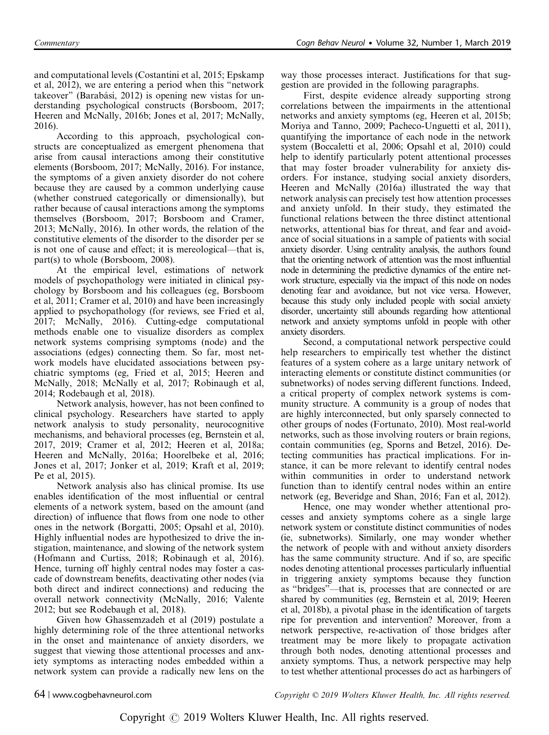and computational levels (Costantini et al, 2015; Epskamp et al, 2012), we are entering a period when this "network takeover" (Barabási, 2012) is opening new vistas for understanding psychological constructs (Borsboom, 2017; Heeren and McNally, 2016b; Jones et al, 2017; McNally, 2016).

According to this approach, psychological constructs are conceptualized as emergent phenomena that arise from causal interactions among their constitutive elements (Borsboom, 2017; McNally, 2016). For instance, the symptoms of a given anxiety disorder do not cohere because they are caused by a common underlying cause (whether construed categorically or dimensionally), but rather because of causal interactions among the symptoms themselves (Borsboom, 2017; Borsboom and Cramer, 2013; McNally, 2016). In other words, the relation of the constitutive elements of the disorder to the disorder per se is not one of cause and effect; it is mereological—that is, part(s) to whole (Borsboom, 2008).

At the empirical level, estimations of network models of psychopathology were initiated in clinical psychology by Borsboom and his colleagues (eg, Borsboom et al, 2011; Cramer et al, 2010) and have been increasingly applied to psychopathology (for reviews, see Fried et al, 2017; McNally, 2016). Cutting-edge computational methods enable one to visualize disorders as complex network systems comprising symptoms (node) and the associations (edges) connecting them. So far, most network models have elucidated associations between psychiatric symptoms (eg, Fried et al, 2015; Heeren and McNally, 2018; McNally et al, 2017; Robinaugh et al, 2014; Rodebaugh et al, 2018).

Network analysis, however, has not been confined to clinical psychology. Researchers have started to apply network analysis to study personality, neurocognitive mechanisms, and behavioral processes (eg, Bernstein et al, 2017, 2019; Cramer et al, 2012; Heeren et al, 2018a; Heeren and McNally, 2016a; Hoorelbeke et al, 2016; Jones et al, 2017; Jonker et al, 2019; Kraft et al, 2019; Pe et al, 2015).

Network analysis also has clinical promise. Its use enables identification of the most influential or central elements of a network system, based on the amount (and direction) of influence that flows from one node to other ones in the network (Borgatti, 2005; Opsahl et al, 2010). Highly influential nodes are hypothesized to drive the instigation, maintenance, and slowing of the network system (Hofmann and Curtiss, 2018; Robinaugh et al, 2016). Hence, turning off highly central nodes may foster a cascade of downstream benefits, deactivating other nodes (via both direct and indirect connections) and reducing the overall network connectivity (McNally, 2016; Valente 2012; but see Rodebaugh et al, 2018).

Given how Ghassemzadeh et al (2019) postulate a highly determining role of the three attentional networks in the onset and maintenance of anxiety disorders, we suggest that viewing those attentional processes and anxiety symptoms as interacting nodes embedded within a network system can provide a radically new lens on the way those processes interact. Justifications for that suggestion are provided in the following paragraphs.

First, despite evidence already supporting strong correlations between the impairments in the attentional networks and anxiety symptoms (eg, Heeren et al, 2015b; Moriya and Tanno, 2009; Pacheco-Unguetti et al, 2011), quantifying the importance of each node in the network system (Boccaletti et al, 2006; Opsahl et al, 2010) could help to identify particularly potent attentional processes that may foster broader vulnerability for anxiety disorders. For instance, studying social anxiety disorders, Heeren and McNally (2016a) illustrated the way that network analysis can precisely test how attention processes and anxiety unfold. In their study, they estimated the functional relations between the three distinct attentional networks, attentional bias for threat, and fear and avoidance of social situations in a sample of patients with social anxiety disorder. Using centrality analysis, the authors found that the orienting network of attention was the most influential node in determining the predictive dynamics of the entire network structure, especially via the impact of this node on nodes denoting fear and avoidance, but not vice versa. However, because this study only included people with social anxiety disorder, uncertainty still abounds regarding how attentional network and anxiety symptoms unfold in people with other anxiety disorders.

Second, a computational network perspective could help researchers to empirically test whether the distinct features of a system cohere as a large unitary network of interacting elements or constitute distinct communities (or subnetworks) of nodes serving different functions. Indeed, a critical property of complex network systems is community structure. A community is a group of nodes that are highly interconnected, but only sparsely connected to other groups of nodes (Fortunato, 2010). Most real-world networks, such as those involving routers or brain regions, contain communities (eg, Sporns and Betzel, 2016). Detecting communities has practical implications. For instance, it can be more relevant to identify central nodes within communities in order to understand network function than to identify central nodes within an entire network (eg, Beveridge and Shan, 2016; Fan et al, 2012).

Hence, one may wonder whether attentional processes and anxiety symptoms cohere as a single large network system or constitute distinct communities of nodes (ie, subnetworks). Similarly, one may wonder whether the network of people with and without anxiety disorders has the same community structure. And if so, are specific nodes denoting attentional processes particularly influential in triggering anxiety symptoms because they function as "bridges"—that is, processes that are connected or are shared by communities (eg, Bernstein et al, 2019; Heeren et al, 2018b), a pivotal phase in the identification of targets ripe for prevention and intervention? Moreover, from a network perspective, re-activation of those bridges after treatment may be more likely to propagate activation through both nodes, denoting attentional processes and anxiety symptoms. Thus, a network perspective may help to test whether attentional processes do act as harbingers of

64 | www.cogbehavneurol.com Copyright © 2019 Wolters Kluwer Health, Inc. All rights reserved.

Copyright  $\odot$  2019 Wolters Kluwer Health, Inc. All rights reserved.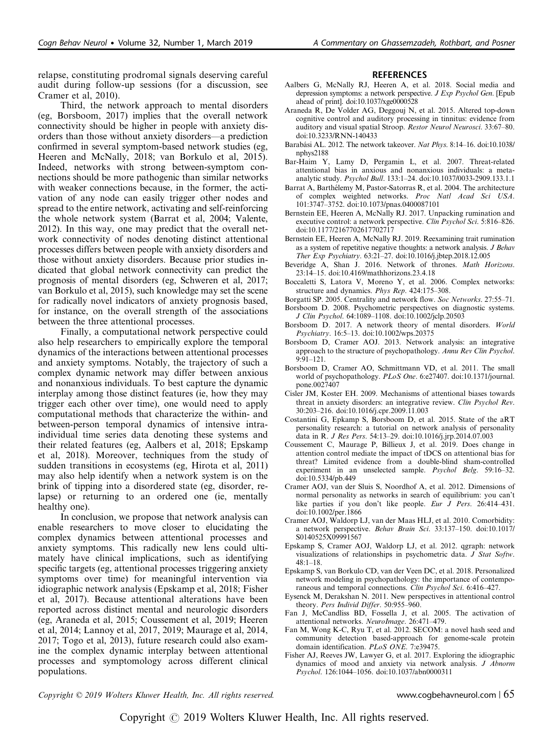relapse, constituting prodromal signals deserving careful audit during follow-up sessions (for a discussion, see Cramer et al, 2010).

Third, the network approach to mental disorders (eg, Borsboom, 2017) implies that the overall network connectivity should be higher in people with anxiety disorders than those without anxiety disorders—a prediction confirmed in several symptom-based network studies (eg, Heeren and McNally, 2018; van Borkulo et al, 2015). Indeed, networks with strong between-symptom connections should be more pathogenic than similar networks with weaker connections because, in the former, the activation of any node can easily trigger other nodes and spread to the entire network, activating and self-reinforcing the whole network system (Barrat et al, 2004; Valente, 2012). In this way, one may predict that the overall network connectivity of nodes denoting distinct attentional processes differs between people with anxiety disorders and those without anxiety disorders. Because prior studies indicated that global network connectivity can predict the prognosis of mental disorders (eg, Schweren et al, 2017; van Borkulo et al, 2015), such knowledge may set the scene for radically novel indicators of anxiety prognosis based, for instance, on the overall strength of the associations between the three attentional processes.

Finally, a computational network perspective could also help researchers to empirically explore the temporal dynamics of the interactions between attentional processes and anxiety symptoms. Notably, the trajectory of such a complex dynamic network may differ between anxious and nonanxious individuals. To best capture the dynamic interplay among those distinct features (ie, how they may trigger each other over time), one would need to apply computational methods that characterize the within- and between-person temporal dynamics of intensive intraindividual time series data denoting these systems and their related features (eg, Aalbers et al, 2018; Epskamp et al, 2018). Moreover, techniques from the study of sudden transitions in ecosystems (eg, Hirota et al, 2011) may also help identify when a network system is on the brink of tipping into a disordered state (eg, disorder, relapse) or returning to an ordered one (ie, mentally healthy one).

In conclusion, we propose that network analysis can enable researchers to move closer to elucidating the complex dynamics between attentional processes and anxiety symptoms. This radically new lens could ultimately have clinical implications, such as identifying specific targets (eg, attentional processes triggering anxiety symptoms over time) for meaningful intervention via idiographic network analysis (Epskamp et al, 2018; Fisher et al, 2017). Because attentional alterations have been reported across distinct mental and neurologic disorders (eg, Araneda et al, 2015; Coussement et al, 2019; Heeren et al, 2014; Lannoy et al, 2017, 2019; Maurage et al, 2014, 2017; Togo et al, 2013), future research could also examine the complex dynamic interplay between attentional processes and symptomology across different clinical populations.

## REFERENCES

- Aalbers G, McNally RJ, Heeren A, et al. 2018. Social media and depression symptoms: a network perspective. J Exp Psychol Gen. [Epub ahead of print]. doi:10.1037/xge0000528
- Araneda R, De Volder AG, Deggouj N, et al. 2015. Altered top-down cognitive control and auditory processing in tinnitus: evidence from auditory and visual spatial Stroop. Restor Neurol Neurosci. 33:67–80. doi:10.3233/RNN-140433
- Barabási AL. 2012. The network takeover. Nat Phys. 8:14–16. doi:10.1038/ nphys2188
- Bar-Haim Y, Lamy D, Pergamin L, et al. 2007. Threat-related attentional bias in anxious and nonanxious individuals: a metaanalytic study. Psychol Bull. 133:1–24. doi:10.1037/0033-2909.133.1.1
- Barrat A, Barthélemy M, Pastor-Satorras R, et al. 2004. The architecture of complex weighted networks. Proc Natl Acad Sci USA. 101:3747–3752. doi:10.1073/pnas.0400087101
- Bernstein EE, Heeren A, McNally RJ. 2017. Unpacking rumination and executive control: a network perspective. Clin Psychol Sci. 5:816-826. doi:10.1177/2167702617702717
- Bernstein EE, Heeren A, McNally RJ. 2019. Reexamining trait rumination as a system of repetitive negative thoughts: a network analysis. J Behav Ther Exp Psychiatry. 63:21–27. doi:10.1016/j.jbtep.2018.12.005
- Beveridge A, Shan J. 2016. Network of thrones. Math Horizons. 23:14–15. doi:10.4169/mathhorizons.23.4.18
- Boccaletti S, Latora V, Moreno Y, et al. 2006. Complex networks: structure and dynamics. Phys Rep. 424:175–308.
- Borgatti SP. 2005. Centrality and network flow. Soc Networks. 27:55–71.
- Borsboom D. 2008. Psychometric perspectives on diagnostic systems. J Clin Psychol. 64:1089–1108. doi:10.1002/jclp.20503
- Borsboom D. 2017. A network theory of mental disorders. World Psychiatry. 16:5–13. doi:10.1002/wps.20375
- Borsboom D, Cramer AOJ. 2013. Network analysis: an integrative approach to the structure of psychopathology. Annu Rev Clin Psychol. 9:91–121.
- Borsboom D, Cramer AO, Schmittmann VD, et al. 2011. The small world of psychopathology. PLoS One. 6:e27407. doi:10.1371/journal. pone.0027407
- Cisler JM, Koster EH. 2009. Mechanisms of attentional biases towards threat in anxiety disorders: an integrative review. Clin Psychol Rev. 30:203–216. doi:10.1016/j.cpr.2009.11.003
- Costantini G, Epkamp S, Borsboom D, et al. 2015. State of the aRT personality research: a tutorial on network analysis of personality data in R. J Res Pers. 54:13–29. doi:10.1016/j.jrp.2014.07.003
- Coussement C, Maurage P, Billieux J, et al. 2019. Does change in attention control mediate the impact of tDCS on attentional bias for threat? Limited evidence from a double-blind sham-controlled experiment in an unselected sample. Psychol Belg. 59:16–32. doi:10.5334/pb.449
- Cramer AOJ, van der Sluis S, Noordhof A, et al. 2012. Dimensions of normal personality as networks in search of equilibrium: you can't like parties if you don't like people. Eur J Pers. 26:414-431. doi:10.1002/per.1866
- Cramer AOJ, Waldorp LJ, van der Maas HLJ, et al. 2010. Comorbidity: a network perspective. Behav Brain Sci. 33:137–150. doi:10.1017/ S0140525X09991567
- Epskamp S, Cramer AOJ, Waldorp LJ, et al. 2012. qgraph: network visualizations of relationships in psychometric data. J Stat Softw. 48:1–18.
- Epskamp S, van Borkulo CD, van der Veen DC, et al. 2018. Personalized network modeling in psychopathology: the importance of contemporaneous and temporal connections. Clin Psychol Sci. 6:416–427.
- Eysenck M, Derakshan N. 2011. New perspectives in attentional control theory. Pers Individ Differ. 50:955–960.
- Fan J, McCandliss BD, Fossella J, et al. 2005. The activation of attentional networks. NeuroImage. 26:471–479.
- Fan M, Wong K-C, Ryu T, et al. 2012. SECOM: a novel hash seed and community detection based-approach for genome-scale protein domain identification. PLoS ONE. 7:e39475.
- Fisher AJ, Reeves JW, Lawyer G, et al. 2017. Exploring the idiographic dynamics of mood and anxiety via network analysis. J Abnorm Psychol. 126:1044–1056. doi:10.1037/abn0000311

Copyright © 2019 Wolters Kluwer Health, Inc. All rights reserved. www.cogbehavneurol.com | 65

Copyright © 2019 Wolters Kluwer Health, Inc. All rights reserved.